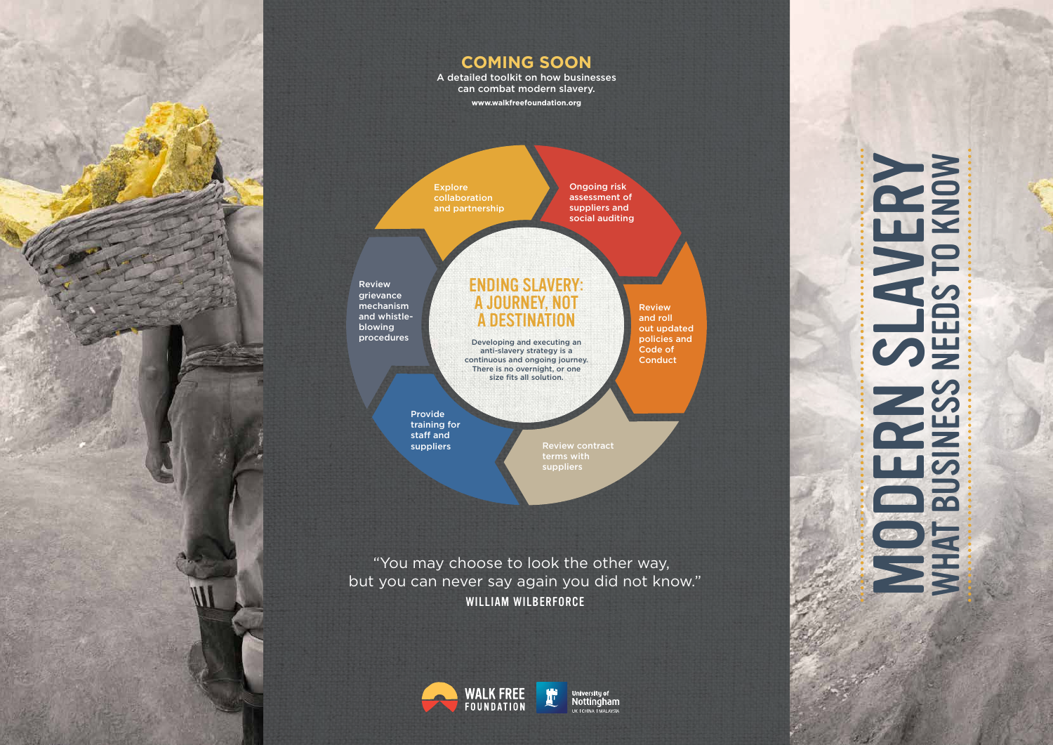



iversity of Nottingham UK | CHINA | MALAYSIA

# SUANERY NOW NO SLAVERY WHAT BUSINESS NEEDS TO KNOW **MATBUSINESS**